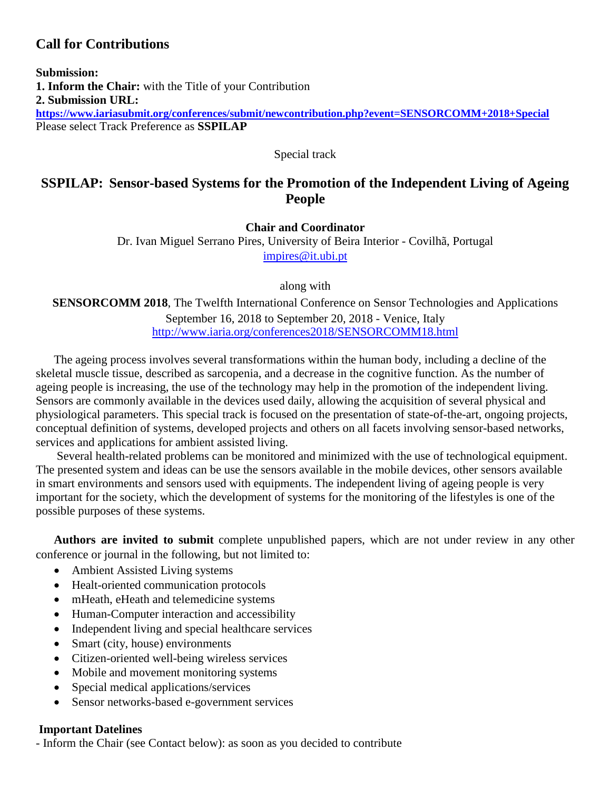# **Call for Contributions**

**Submission: 1. Inform the Chair:** with the Title of your Contribution **2. Submission URL: <https://www.iariasubmit.org/conferences/submit/newcontribution.php?event=SENSORCOMM+2018+Special>** Please select Track Preference as **SSPILAP**

Special track

# **SSPILAP: Sensor-based Systems for the Promotion of the Independent Living of Ageing People**

**Chair and Coordinator**

Dr. Ivan Miguel Serrano Pires, University of Beira Interior - Covilhã, Portugal [impires@it.ubi.pt](mailto:impires@it.ubi.pt)

along with

**SENSORCOMM 2018**, The Twelfth International Conference on Sensor Technologies and Applications September 16, 2018 to September 20, 2018 - Venice, Italy <http://www.iaria.org/conferences2018/SENSORCOMM18.html>

The ageing process involves several transformations within the human body, including a decline of the skeletal muscle tissue, described as sarcopenia, and a decrease in the cognitive function. As the number of ageing people is increasing, the use of the technology may help in the promotion of the independent living. Sensors are commonly available in the devices used daily, allowing the acquisition of several physical and physiological parameters. This special track is focused on the presentation of state-of-the-art, ongoing projects, conceptual definition of systems, developed projects and others on all facets involving sensor-based networks, services and applications for ambient assisted living.

Several health-related problems can be monitored and minimized with the use of technological equipment. The presented system and ideas can be use the sensors available in the mobile devices, other sensors available in smart environments and sensors used with equipments. The independent living of ageing people is very important for the society, which the development of systems for the monitoring of the lifestyles is one of the possible purposes of these systems.

**Authors are invited to submit** complete unpublished papers, which are not under review in any other conference or journal in the following, but not limited to:

- Ambient Assisted Living systems
- Healt-oriented communication protocols
- mHeath, eHeath and telemedicine systems
- Human-Computer interaction and accessibility
- Independent living and special healthcare services
- Smart (city, house) environments
- Citizen-oriented well-being wireless services
- Mobile and movement monitoring systems
- Special medical applications/services
- Sensor networks-based e-government services

#### **Important Datelines**

- Inform the Chair (see Contact below): as soon as you decided to contribute